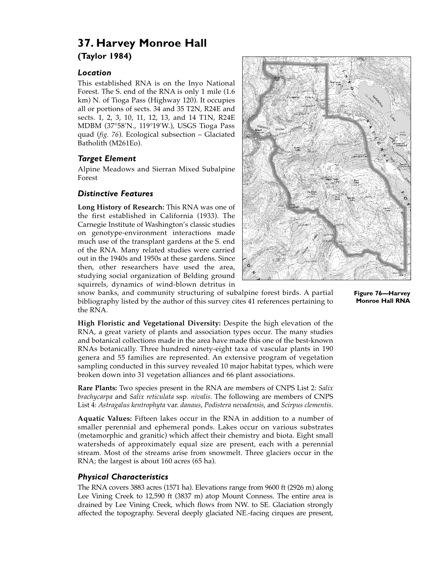# **37. Harvey Monroe Hall (Taylor 1984)**

## *Location*

This established RNA is on the Inyo National Forest. The S. end of the RNA is only 1 mile (1.6 km) N. of Tioga Pass (Highway 120). It occupies all or portions of sects. 34 and 35 T2N, R24E and sects. 1, 2, 3, 10, 11, 12, 13, and 14 T1N, R24E MDBM (37°58'N., 119°19'W.), USGS Tioga Pass quad (*fig. 76*). Ecological subsection – Glaciated Batholith (M261Eo).

## *Target Element*

Alpine Meadows and Sierran Mixed Subalpine Forest

## *Distinctive Features*

**Long History of Research:** This RNA was one of the first established in California (1933). The Carnegie Institute of Washington's classic studies on genotype-environment interactions made much use of the transplant gardens at the S. end of the RNA. Many related studies were carried out in the 1940s and 1950s at these gardens. Since then, other researchers have used the area, studying social organization of Belding ground squirrels, dynamics of wind-blown detritus in



snow banks, and community structuring of subalpine forest birds. A partial bibliography listed by the author of this survey cites 41 references pertaining to the RNA.

**High Floristic and Vegetational Diversity:** Despite the high elevation of the RNA, a great variety of plants and association types occur. The many studies and botanical collections made in the area have made this one of the best-known RNAs botanically. Three hundred ninety-eight taxa of vascular plants in 190 genera and 55 families are represented. An extensive program of vegetation sampling conducted in this survey revealed 10 major habitat types, which were broken down into 31 vegetation alliances and 66 plant associations.

**Rare Plants:** Two species present in the RNA are members of CNPS List 2: *Salix brachycarpa* and *Salix reticulata* ssp. *nivalis*. The following are members of CNPS List 4: *Astragalus kentrophyta* var. *danaus*, *Podistera nevadensis*, and *Scirpus clementis*.

**Aquatic Values:** Fifteen lakes occur in the RNA in addition to a number of smaller perennial and ephemeral ponds. Lakes occur on various substrates (metamorphic and granitic) which affect their chemistry and biota. Eight small watersheds of approximately equal size are present, each with a perennial stream. Most of the streams arise from snowmelt. Three glaciers occur in the RNA; the largest is about 160 acres (65 ha).

## *Physical Characteristics*

The RNA covers 3883 acres (1571 ha). Elevations range from 9600 ft (2926 m) along Lee Vining Creek to 12,590 ft (3837 m) atop Mount Conness. The entire area is drained by Lee Vining Creek, which flows from NW. to SE. Glaciation strongly affected the topography. Several deeply glaciated NE.-facing cirques are present, **Figure 76—Harvey Monroe Hall RNA**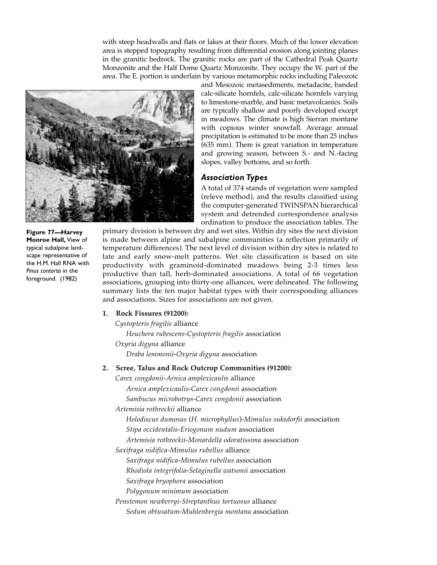with steep headwalls and flats or lakes at their floors. Much of the lower elevation area is stepped topography resulting from differential erosion along jointing planes in the granitic bedrock. The granitic rocks are part of the Cathedral Peak Quartz Monzonite and the Half Dome Quartz Monzonite. They occupy the W. part of the area. The E. portion is underlain by various metamorphic rocks including Paleozoic



**Figure 77—Harvey Monroe Hall,** View of typical subalpine landscape representative of the H.M. Hall RNA with *Pinus contorta* in the foreground. (1982)

and Mesozoic metasediments, metadacite, banded calc-silicate hornfels, calc-silicate hornfels varying to limestone-marble, and basic metavolcanics. Soils are typically shallow and poorly developed except in meadows. The climate is high Sierran montane with copious winter snowfall. Average annual precipitation is estimated to be more than 25 inches (635 mm). There is great variation in temperature and growing season, between S.- and N.-facing slopes, valley bottoms, and so forth.

### *Association Types*

A total of 374 stands of vegetation were sampled (releve method), and the results classified using the computer-generated TWINSPAN hierarchical system and detrended correspondence analysis ordination to produce the association tables. The

primary division is between dry and wet sites. Within dry sites the next division is made between alpine and subalpine communities (a reflection primarily of temperature differences). The next level of division within dry sites is related to late and early snow-melt patterns. Wet site classification is based on site productivity with graminoid-dominated meadows being 2-3 times less productive than tall, herb-dominated associations. A total of 66 vegetation associations, grouping into thirty-one alliances, were delineated. The following summary lists the ten major habitat types with their corresponding alliances and associations. Sizes for associations are not given.

#### **1. Rock Fissures (91200):**

*Cystopteris fragilis* alliance

*Heuchera rubescens*-*Cystopteris fragilis* association

*Oxyria digyna* alliance

*Draba lemmonii*-*Oxyria digyna* association

#### **2. Scree, Talus and Rock Outcrop Communities (91200):**

*Carex congdonii*-*Arnica amplexicaulis* alliance

*Arnica amplexicaulis*-*Carex congdonii* association

*Sambucus microbotrys*-*Carex congdonii* association

*Artemisia rothrockii* alliance

*Holodiscus dumosus* (*H. microphyllus*)-*Mimulus suksdorfii* association

*Stipa occidentalis*-*Eriogonum nudum* association

*Artemisia rothrockii*-*Monardella odoratissima* association

*Saxifraga nidifica*-*Mimulus rubellus* alliance

*Saxifraga nidifica*-*Mimulus rubellus* association

*Rhodiola integrifolia*-*Selaginella watsonii* association

- *Saxifraga bryophora* association
- *Polygonum minimum* association

*Penstemon newberryi*-*Streptanthus tortuosus* alliance

*Sedum obtusatum*-*Muhlenbergia montana* association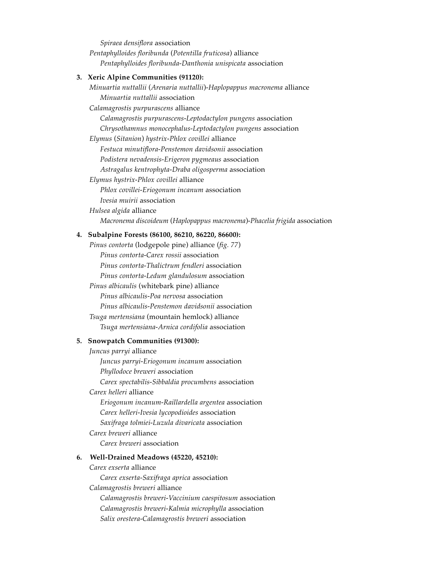*Spiraea densiflora* association *Pentaphylloides floribunda* (*Potentilla fruticosa*) alliance *Pentaphylloides floribunda*-*Danthonia unispicata* association

#### **3. Xeric Alpine Communities (91120):**

*Minuartia nuttallii* (*Arenaria nuttallii*)-*Haplopappus macronema* alliance *Minuartia nuttallii* association

*Calamagrostis purpurascens* alliance

*Calamagrostis purpurascens*-*Leptodactylon pungens* association *Chrysothamnus monocephalus*-*Leptodactylon pungens* association

*Elymus* (*Sitanion*) *hystrix-Phlox covillei* alliance

*Festuca minutiflora*-*Penstemon davidsonii* association *Podistera nevadensis*-*Erigeron pygmeaus* association

*Astragalus kentrophyta*-*Draba oligosperma* association

*Elymus hystrix*-*Phlox covillei* alliance

*Phlox covillei*-*Eriogonum incanum* association

*Ivesia muirii* association

*Hulsea algida* alliance

*Macronema discoideum* (*Haplopappus macronema*)-*Phacelia frigida* association

#### **4. Subalpine Forests (86100, 86210, 86220, 86600):**

*Pinus contorta* (lodgepole pine) alliance (*fig. 77*) *Pinus contorta*-*Carex rossii* association *Pinus contorta*-*Thalictrum fendleri* association *Pinus contorta*-*Ledum glandulosum* association *Pinus albicaulis* (whitebark pine) alliance *Pinus albicaulis*-*Poa nervosa* association *Pinus albicaulis*-*Penstemon davidsonii* association *Tsuga mertensiana* (mountain hemlock) alliance *Tsuga mertensiana*-*Arnica cordifolia* association

#### **5. Snowpatch Communities (91300):**

*Juncus parryi* alliance *Juncus parryi*-*Eriogonum incanum* association *Phyllodoce breweri* association *Carex spectabilis*-*Sibbaldia procumbens* association *Carex helleri* alliance *Eriogonum incanum*-*Raillardella argentea* association *Carex helleri*-*Ivesia lycopodioides* association *Saxifraga tolmiei*-*Luzula divaricata* association *Carex breweri* alliance *Carex breweri* association **6. Well-Drained Meadows (45220, 45210):**

*Carex exserta* alliance

*Carex exserta*-*Saxifraga aprica* association

*Calamagrostis breweri* alliance

*Calamagrostis breweri*-*Vaccinium caespitosum* association *Calamagrostis breweri*-*Kalmia microphylla* association *Salix orestera*-*Calamagrostis breweri* association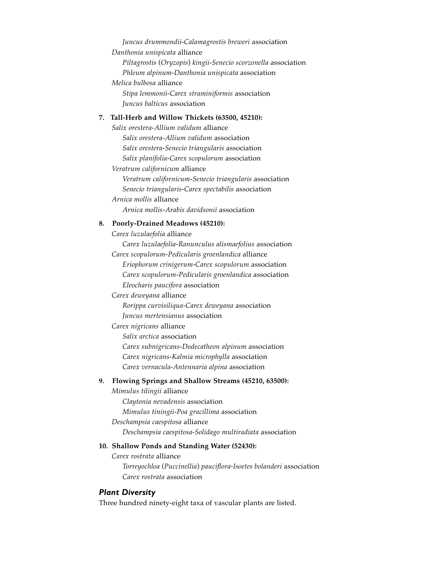*Juncus drummondii*-*Calamagrostis breweri* association *Danthonia unispicata* alliance *Piltagrostis* (*Oryzopis*) *kingii-Senecio scorzonella* association *Phleum alpinum*-*Danthonia unispicata* association *Melica bulbosa* alliance *Stipa lemmonii*-*Carex straminiformis* association *Juncus balticus* association

## **7. Tall-Herb and Willow Thickets (63500, 45210):**

*Salix orestera*-*Allium validum* alliance *Salix orestera*-*Allium validum* association *Salix orestera*-*Senecio triangularis* association *Salix planifolia*-*Carex scopulorum* association *Veratrum californicum* alliance *Veratrum californicum*-*Senecio triangularis* association *Senecio triangularis*-*Carex spectabilis* association *Arnica mollis* alliance *Arnica mollis*-*Arabis davidsonii* association

#### **8. Poorly-Drained Meadows (45210):**

*Carex luzulaefolia* alliance

*Carex luzulaefolia*-*Ranunculus alismaefolius* association *Carex scopulorum*-*Pedicularis groenlandica* alliance

*Eriophorum crinigerum*-*Carex scopulorum* association *Carex scopulorum*-*Pedicularis groenlandica* association *Eleocharis paucifora* association

#### *Carex deweyana* alliance

*Rorippa curvisiliqua*-*Carex deweyana* association *Juncus mertensianus* association

*Carex nigricans* alliance

*Salix arctica* association *Carex subnigricans*-*Dodecatheon alpinum* association *Carex nigricans*-*Kalmia microphylla* association *Carex vernacula*-*Antennaria alpina* association

#### **9. Flowing Springs and Shallow Streams (45210, 63500):**

*Mimulus tilingii* alliance

*Claytonia nevadensis* association

*Mimulus tiningii*-*Poa gracillima* association

*Deschampsia caespitosa* alliance

*Deschampsia caespitosa*-*Solidago multiradiata* association

#### **10. Shallow Ponds and Standing Water (52430):**

*Carex rostrata* alliance *Torreyochloa* (*Puccinellia*) *pauciflora-Isoetes bolanderi* association *Carex rostrata* association

#### *Plant Diversity*

Three hundred ninety-eight taxa of vascular plants are listed.